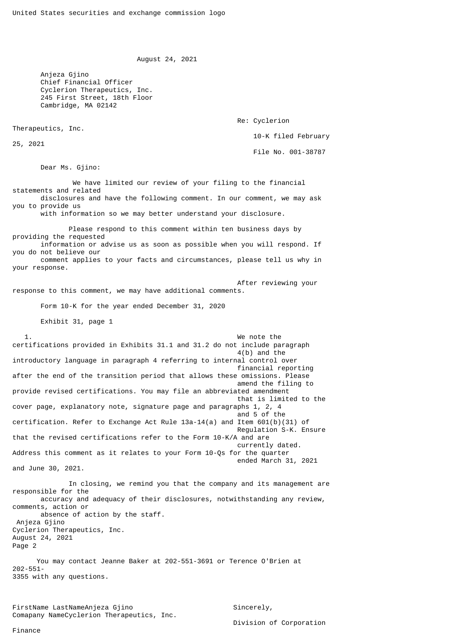August 24, 2021

 Anjeza Gjino Chief Financial Officer Cyclerion Therapeutics, Inc. 245 First Street, 18th Floor Cambridge, MA 02142

Re: Cyclerion

10-K filed February

25, 2021

Therapeutics, Inc.

File No. 001-38787

Dear Ms. Gjino:

 We have limited our review of your filing to the financial statements and related disclosures and have the following comment. In our comment, we may ask you to provide us

with information so we may better understand your disclosure.

 Please respond to this comment within ten business days by providing the requested information or advise us as soon as possible when you will respond. If you do not believe our comment applies to your facts and circumstances, please tell us why in your response.

 After reviewing your response to this comment, we may have additional comments.

Form 10-K for the year ended December 31, 2020

Exhibit 31, page 1

 1. We note the certifications provided in Exhibits 31.1 and 31.2 do not include paragraph 4(b) and the introductory language in paragraph 4 referring to internal control over financial reporting after the end of the transition period that allows these omissions. Please amend the filing to provide revised certifications. You may file an abbreviated amendment that is limited to the cover page, explanatory note, signature page and paragraphs 1, 2, 4 and 5 of the contract of the contract of the contract of the contract of the contract of the contract of the contract of the contract of the contract of the contract of the contract of the contract of the contract of the c certification. Refer to Exchange Act Rule 13a-14(a) and Item 601(b)(31) of Regulation S-K. Ensure that the revised certifications refer to the Form 10-K/A and are currently dated. Address this comment as it relates to your Form 10-Qs for the quarter ended March 31, 2021 and June 30, 2021.

 In closing, we remind you that the company and its management are responsible for the accuracy and adequacy of their disclosures, notwithstanding any review, comments, action or absence of action by the staff. Anjeza Gjino Cyclerion Therapeutics, Inc. August 24, 2021 Page 2

 You may contact Jeanne Baker at 202-551-3691 or Terence O'Brien at 202-551- 3355 with any questions.

FirstName LastNameAnjeza Gjino Sincerely, Comapany NameCyclerion Therapeutics, Inc.

Division of Corporation

Finance